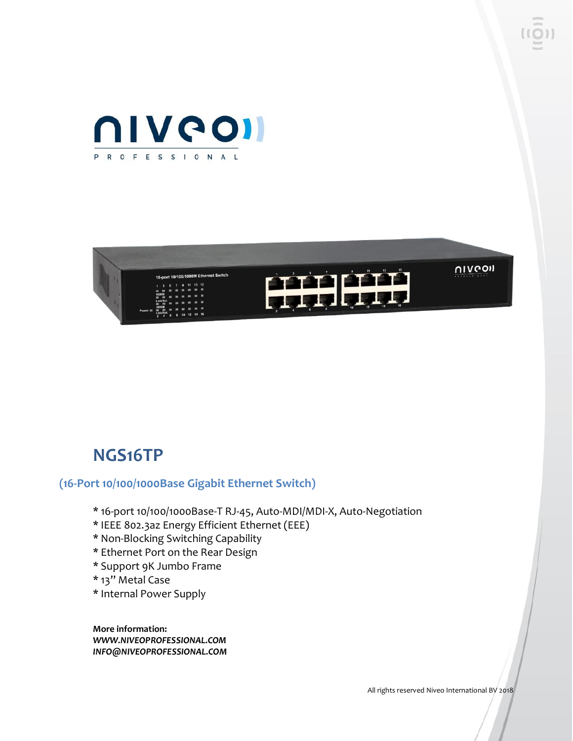



## **NGS16TP**

#### **(16-Port 10/100/1000Base Gigabit Ethernet Switch)**

- \* 16-port 10/100/1000Base-T RJ-45, Auto-MDI/MDI-X, Auto-Negotiation
- \* IEEE 802.3az Energy Efficient Ethernet (EEE)
- \* Non-Blocking Switching Capability
- \* Ethernet Port on the Rear Design
- \* Support 9K Jumbo Frame
- \* 13" Metal Case
- \* Internal Power Supply

**More information:** *WWW.NIVEOPROFESSIONAL.COM INFO@NIVEOPROFESSIONAL.COM*

All rights reserved Niveo International BV 2018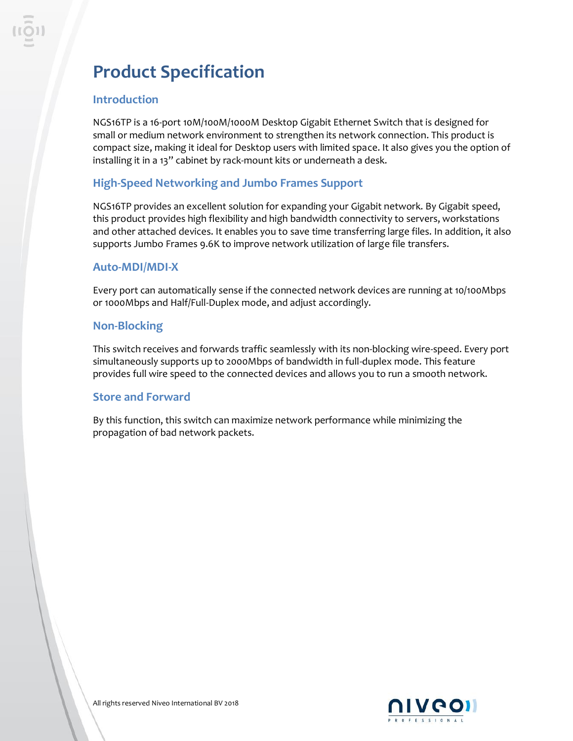## **Product Specification**

#### **Introduction**

NGS16TP is a 16-port 10M/100M/1000M Desktop Gigabit Ethernet Switch that is designed for small or medium network environment to strengthen its network connection. This product is compact size, making it ideal for Desktop users with limited space. It also gives you the option of installing it in a 13" cabinet by rack-mount kits or underneath a desk.

### **High-Speed Networking and Jumbo Frames Support**

NGS16TP provides an excellent solution for expanding your Gigabit network. By Gigabit speed, this product provides high flexibility and high bandwidth connectivity to servers, workstations and other attached devices. It enables you to save time transferring large files. In addition, it also supports Jumbo Frames 9.6K to improve network utilization of large file transfers.

#### **Auto-MDI/MDI-X**

Every port can automatically sense if the connected network devices are running at 10/100Mbps or 1000Mbps and Half/Full-Duplex mode, and adjust accordingly.

#### **Non-Blocking**

This switch receives and forwards traffic seamlessly with its non-blocking wire-speed. Every port simultaneously supports up to 2000Mbps of bandwidth in full-duplex mode. This feature provides full wire speed to the connected devices and allows you to run a smooth network.

#### **Store and Forward**

By this function, this switch can maximize network performance while minimizing the propagation of bad network packets.